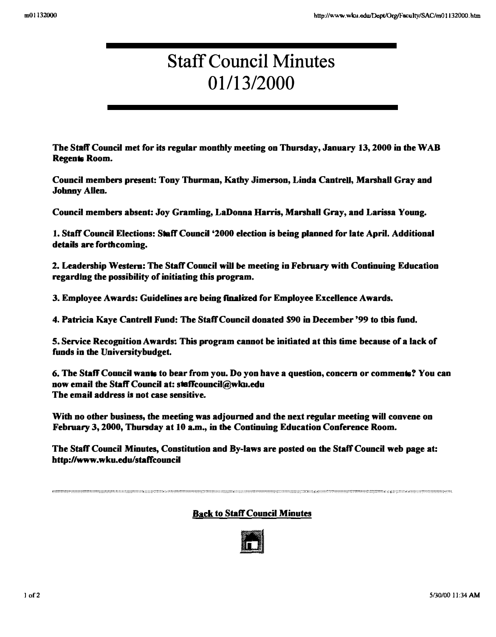# Staff Council Minutes 01113/2000

The Staff Council met for its regular monthly meeting on Thursday, January 13, 2000 in the WAB Regents Room.

Council members present: Tony Thurman, Kathy Jimerson, Linda Cantrell, Marshall Gray and Johnny Allen.

Council members absent: Joy Gramling, LaDoooa Harris, Marshall Gray, and Larissa Young.

1. Staff Council Elections: Staff Council '2000 election is being planned for late April. Additional details are forthcoming.

2. Leadership Western: The Staff Council will be meeting in February with Continuing Education regarding the possibility of initiating this program.

3. Employee Awards: Guidelines are being finalized for Employee Excellence Awards.

4. Patricia Kaye Cantrell Fund: The Staff Council donated 590 in December '99 to tbis fund.

5. Service Recognition Awards: This program cannot be initiated at this time because of a lack of funds in the Universitybudget.

6. The Staff Council wants to bear from you. Do yon have a question, concern or comments? You can now email the Staff Council at: staffcouncil@wku.edu The email address is not case sensitive.

With no other business, the meeting was adjourned and the next regular meeting will convene on February 3, 2000, Thursday at 10 a.m., in the Continuing Education Conference Room.

The Staff Council Minutes, Constitution and By-laws are posted on the Staff Council web page at: http://www.wku.edu/staffcouncil

### Back to Staff Council Minutes

""""""."""""",,,,,,,,,,,,,,,,,,,,,::,,,,,,,,,,,,,,,, ,,,::,,, ,.,.,,,,,,,,,, ....... "'" .. ,,,",::,''',,''' ,.,''''''',:::: ...... ,,'',,''',,'''''''''',.,"" ,:: "",,,,,, .... ,,,,,,,,::, .. ,,.\_,,,,,,,.,,,,,, "",,,.,,,,, ".,," ,,, ..... ,,""",, .... .

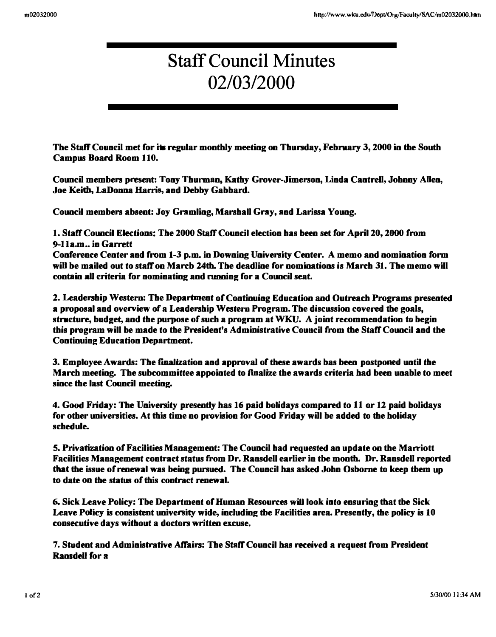# Staff Council Minutes 02/0312000

The Staff Council met for its regular monthly meeting on Thursday, February 3, 2000 in the South Campus Board Room 110.

Council members present: Tony Thurman, Kathy Grover-Jimerson, Linda Cantrell, Johnny Allen, Joe Keith, LaDoona Harris, and Debby Gabbard.

Council members absent: Joy Gramling, Marshall Gray, and Larissa Young.

1. Staff Council Elections: The 2000 Staff Council election has been set for April 20, 2000 from 9-11a.m .. in Garrett

Conference Center and from 1-3 p.m. in Downing University Center. A memo and nomination form will be mailed out to staff on Marcb 24th. The deadline for nominations is March 31. The memo will contain alI criteria (or nominating and running (or a Council seat.

2. Leadership Western: The Department of Continuing Education and Outreach Programs presented a proposal and overview of a Leadership Western Program. The discussion covered the goals, structure, budget, and the purpose of such a program at  $WKU$ . A joint recommendation to begin this program will be made to the President's Administrative Council from the Staff Council and the Continuing Education Department.

3. Employee Awards: The finalization and approval of these awards bas been postponed until the March meeting. The subcommittee appointed to finalize the awards criteria had been unable to meet since the last Council meeting.

4. Good Friday: The University presently has 16 paid bolidays compared to 11 or 12 paid bolidays for other universities. At this time no provision for Good Friday will be added to the holiday schedule.

5. Privatization of Facilities Management: The Council had requested an update on the Maniott Facilities Management contract status (rom Dr. Ransdell earlier in tbe month. Dr. Ransdell reported that the issue of renewal was being pursued. The Council has asked John Osborne to keep tbem up to date on the status of this contract renewal.

6. Sick Leave Policy: Tbe Department of Human Resources will look into ensuring that tbe Sick Leave Policy is consistent university wide, including the Facilities area. Presently, the policy is 10 consecutive days without a doctors written excuse.

7. Student aud Administrative Affairs: The Staff Council has received a request from President Ransdell for a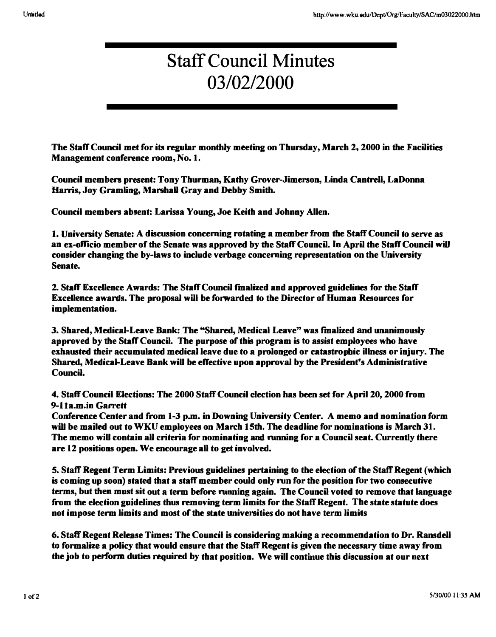# Staff Council Minutes 03/02/2000

The Staff Council met for its regular monthly meeting on Thursday, March 2, 2000 in the Facilities Management conference room, No. 1.

Council members present: Tony Thurman, Kathy Grover-Jimerson, Linda Cantrell, LaDonna Harris, Joy Gramling, Marshall Gray and Debby Smith.

Council members absent: Larissa Young, Joe Keith and Johnny Allen.

1. University Senate: A discussion concerning rotating a member from the Staff Council to serve as an ex-officio member of the Senate was approved by the Staff Council. In April the Staff Council will consider changing the by-laws to include verbage concerning representation on the University Senate.

2. Staff Excellence Awards: The Staff Council finalized and approved guidelines for the Staff Excellence awards. The proposal will be forwarded to the Director of Human Resources for implementation.

3. Shared, Medical-Leave Bank: The "Shared, Medical Leave" was finalized and unanimously approved by the Staff Council. The purpose of this program is to assist employees who have exhausted their accumulated medical leave due to a prolonged or catastropbic illness or injury. The Shared, Medical-Leave Bank will be effective upon approval by the President's Administrative Council.

4. Staff Council Elections: The 2000 Staff Council election has been set for April 20. 2000 from 9-11a.m.in Garrett

Conference Center and from 1-3 p.m. in Downing University Center. A memo and nomination form will be mailed out to WKU employees on March 15th. The deadline for nominations is March 31. The memo will contain all criteria for nominating and running for a Council seat. Currently there are 12 positions open. We encourage all to get involved.

5. Staff Regent Term Limits: Previous guidelines pertaining to the election of the Staff Regent (which is coming up soon) stated that a staff member could only run for the position for two consecutive terms, but then must sit out a term before running again. The Council voted to remove that language from the election guidelines thus removing term limits for the Staff Regent. The state statute does not impose term limits and most of the state universities do not have term limits

6. Staft'Regent Release Times: The Council is considering making a recommendation to Dr. Ransdell to formalize a policy that would ensure that the Staff Regent is given the necessary time away from the job to perform duties required by that position. We will continue this discussion at our next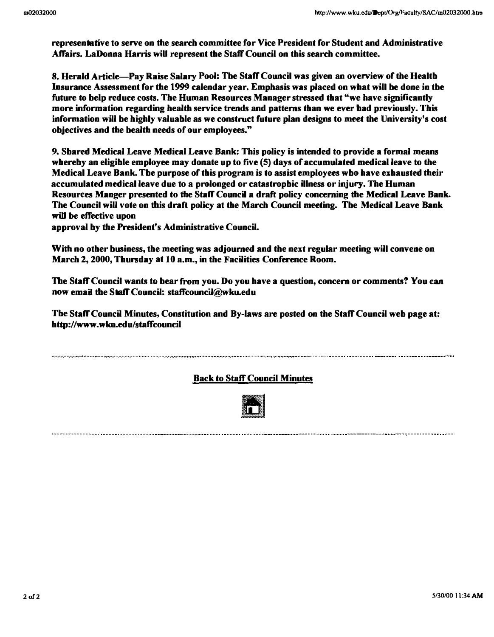representative to serve on the search committee for Vice President for Student and Administrative Affairs. LaDonna Harris will represent the Staff Council on this search committee.

8. Herald Article-Pay Raise Salary Pool: Tbe Staff Council was given an overview of the Healtb Insurance Assessment for the 1999 calendar year. Emphasis was placed on what will be done in tbe future to belp reduce costs. The Human Resources Manager stressed that "we have significantly more information regarding health service trends and patterns than we ever had previously. This information will be highly valuable as we construct future plan designs to meet the University's cost objectives and the bealth needs of our employees."

9. Sbared Medical Leave Medical Leave Bank: This policy is intended to provide a formal means whereby an eligible employee may donate up to five (5) days of accumulated medical leave to the Medical Leave Bank. Tbe purpose of this program is to assist employees wbo have exhausted their accumulated medical leave due to a prolonged or catastropbic illness or injury. The Human Resourees Manger presented to the Staff Council a draft policy concerning the Medical Leave Bank. The Council will vote on this draft policy at the March Council meeting. Tbe Medical Leave Bank will be effective upon

approval by the President's Administrative Council.

, ................••.• ,., ..................... ................ , ...... .............

•..... , .....•............

With no other business, the meeting was adjourned and the next regular meeting will convene on March 2, 2000, Thursday at 10 a.m., in the Facilities Conference Room.

The Staff Council wants to bear from you. Do you have a question, concern or comments? You can now email the Staff Council: staffcouncil@wku.edu

Tbe Staff Council Minutes, Constitution and By-laws are posted on the Staff Council web page at: http://www.wku.edu/staffcouncil

### Back to Staff Council Minutes

....................• , ..... ··············0····0·0·· .........•..........................................

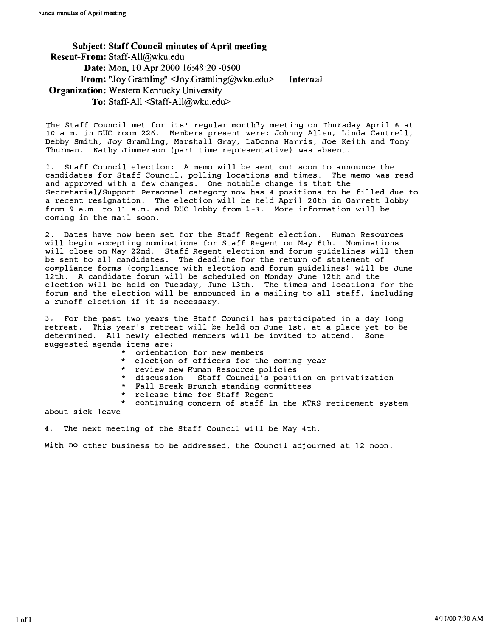Subject: Staff Council minutes of April meeting Resent-From: Staff-AIl@wku.edu Date: Mon, 10 Apr 2000 16:48:20 -0500 From: "Joy Gramling" <Joy.Gramling@wku.edu> Organization: Western Kentucky University Internal To: Staff-All <Staff-AIl@wku.edu>

The staff council met for its' regular monthly meeting on Thursday April 6 at 10 a.m. in DUC room 226. Members present were: Johnny Allen, Linda Cantrell, Debby Smith, Joy Gramling, Marshall Gray, LaDonna Harris, Joe Keith and Tony Thurman. Kathy Jimmerson (part time representative) was absent.

1. Staff Council election: A memo will be sent out soon to announce the candidates for Staff Council, polling locations and times. The memo was read and approved with a few changes. One notable change is that the Secretarial/Support Personnel category now has 4 positions to be filled due to a recent resignation. The election will be held April 20th in Garrett lobby from 9 a.m. to 11 a.m. and DUC lobby from 1-3. More information will be coming in the mail soon.

2. Dates have now been set for the Staff Regent election. Human Resources will begin accepting nominations for Staff Regent on May 8th. Nominations will close on May 22nd. Staff Regent election and forum guidelines will then be sent to all candidates. The deadline for the return of statement of compliance forms (compliance with election and forum guidelines) will be June 12th. A candidate forum will be scheduled on Monday June 12th and the election will be held on Tuesday, June 13th. The times and locations for the forum and the election will be announced in a mailing to all staff, including a runoff election if it is necessary.

3. For the past two years the Staff Council has participated in a day long retreat. This year's retreat will be held on June 1st, at a place yet to be determined. All newly elected members will be invited to attend. Some suggested agenda items are:

- orientation for new members
- election of officers for the coming year
- review new Human Resource policies
- discussion Staff Council's position on privatization
- Fall Break Brunch standing committees
- release time for Staff Regent

continuing concern of staff in the KTRS retirement system

about sick leave

4. The next meeting of the Staff Council will be May 4th.

With no other business to be addressed, the Council adjourned at 12 noon.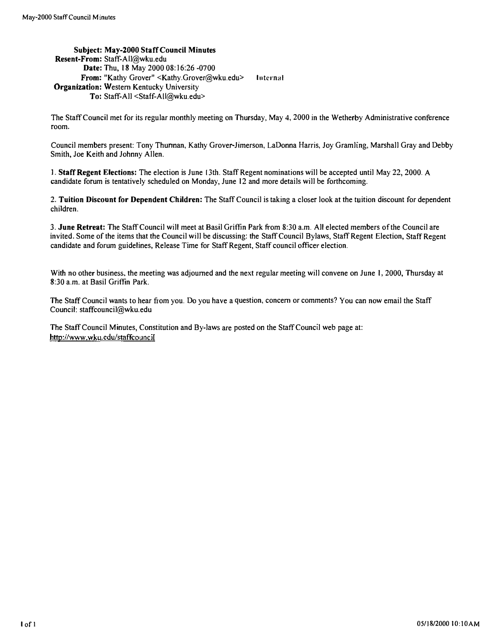Subject: May-2000 Staff Council Minutes Resent-From: Staff-AIl@wku.edu Date: Thu, 18 May 2000 08:16:26 -0700 From: "Kathy Grover" <Kathy.Grover@wku.edu> Internal Organization: Western Kentucky University To: Staff-All <Staff-All@wku.edu>

The Staff Council met for its regular monthly meeting on Thursday. May 4, 2000 in the Wetherby Administrative conference room.

Council members present: Tony Thumnan, Kathy Grover-Jimerson, LaDonna Harris, Joy Gramling, Marshall Gray and Debby Smith, Joe Keith and Johnny Allen.

I. Staff Regent Elections: The election is June 13th. Staff Regent nominations will be accepted until May 22, 2000. A candidate forum is tentatively scheduled on Monday, June 12 and more details will be forthcoming.

2. Tuition Discount for Dependent Children: The Staff Council is taking a closer look at the tuition discount for dependent children.

3. June Retreat: The Staff Council will meet at Basil Griffin Park from 8:30 a.m. All elected members of the Council are invited. Some of the items that the Council will be discussing: the Staff Council Bylaws, Staff Regent Election, Staff Regent candidate and forum guidelines, Release Time for Staff Regent, Staff council officer election.

With no other business, the meeting was adjourned and the next regular meeting will convene on June 1, 2000, Thursday at 8:30 a.m. at Basil Griffin Park.

The Staff Council wants to hear from you. Do you have a question, concern or comments? You can now email the Staff Council: staffcouncil@wku.edu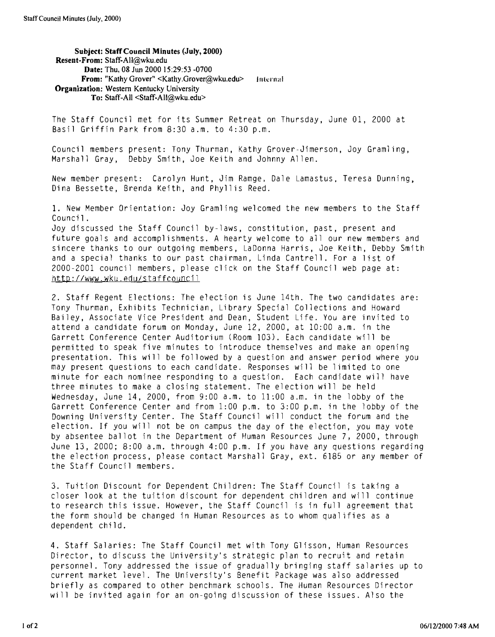Subject: Staff Council Minutes (July, 2000) Resent-From: Staff-All@wku.edu Date: Thu, 08 Jun 2000 15:29:53 -0700 From: "Kathy Grover" <Kathy.Grover@wku.edu> lnternal Organization: Western Kentucky University To: Staff-All <Staff-All@wku,edu>

The Staff Council met for its Summer Retreat on Thursday, June 01, 2000 at Basil Griffin Park from 8:30 a.m. to 4:30 p.m.

Council members present: Tony Thurman, Kathy Grover-Jimerson, Joy Gramling, Marshall Gray, Debby Smith, Joe Keith and Johnny Allen.

New member present: Carolyn Hunt, Jim Ramge, Dale Lamastus, Teresa Dunning, Dina Bessette, Brenda Keith, and Phyllis Reed.

1. New Member Orientation; Joy Gramling welcomed the new members to the Staff Council.

Joy discussed the Staff Council by-laws, constitution, past, present and future goals and accomplishments. A hearty welcome to all our new members and sincere thanks to our outgoing members, LaDonna Harris, Joe Keith, Debby Smith and a special thanks to our past chairman, Linda Cantrell. For a list of 2000-2001 council members, please click on the Staff Council web page at: http://www.wku.edu/staffcouncil

2. Staff Regent Elections: The election is June 14th. The two candidates are: Tony Thurman, Exhibits Technician, Library Special Collections and Howard Bailey, Associate Vice President and Dean, Student Life. You are invited to attend a candidate forum on Monday, June 12, 2000, at 10:00 a.m. in the Garrett Conference Center Auditorium (Room 103). Each candidate will be permitted to speak five minutes to introduce themselves and make an opening presentation. This will be followed by a question and answer period where you may present questions to each candidate. Responses will be limited to one minute for each nominee responding to a question. Each candidate will have three minutes to make a closing statement. The election will be held Wednesday, June 14, 2000, from 9:00 a.m. to 11:00 a.m. in the lobby of the Garrett Conference Center and from 1:00 p.m. to 3:00 p.m. in the lobby of the Downing University Center. The Staff Council will conduct the forum and the election. If you will not be on campus the day of the election, you may vote by absentee ballot in the Department of Human Resources June 7, 2000, through June 13, 2000; 8:00 a.m. through 4:00 p.m. If you have any questions regarding the election process, please contact Marshall Gray, ext. 6185 or any member of the Staff Council members.

3. Tuition Discount for Dependent Children: The Staff Council is taking a closer look at the tuition discount for dependent children and will continue to research this issue. However, the Staff Council is in full agreement that the form should be changed in Human Resources as to whom qualifies as a dependent child.

4. Staff Salaries: The Staff Council met with Tony Glisson, Human Resources Director, to discuss the University's strategic plan to recruit and retain personnel. Tony addressed the issue of gradually bringing staff salaries up to current market level. The University's Benefit Package was also addressed briefly as compared to other benchmark schools. The Human Resources Director will be invited again for an on-going discussion of these issues. Also the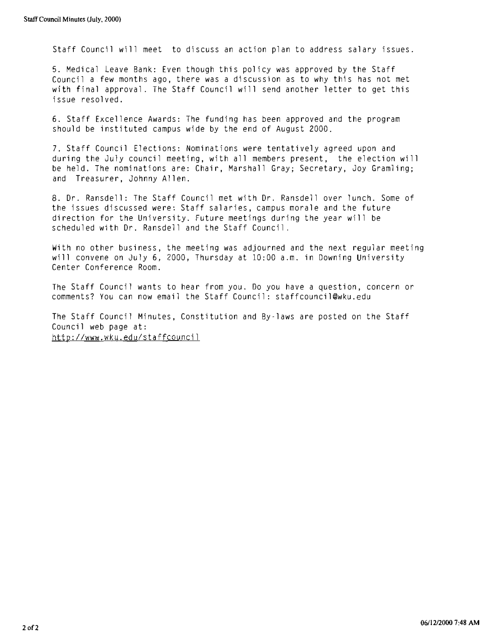Staff Council will meet to discuss an action plan to address salary issues.

5. Medical leave Bank: Even though this policy was approved by the Staff Council a few months ago, there was a discussion as to why this has not met with final approval, The Staff Council will send another letter to get this issue resolved.

6. Staff Excellence Awards: The funding has been approved and the program should be instituted campus wide by the end of August 2000.

7. Staff Council Elections: Nominations were tentatively agreed upon and during the July council meeting, with all members present, the election will be held, The nominations are: Chair, Marshall Gray; Secretary, Joy Gramling; and Treasurer, Johnny Allen.

8. Dr. Ransdell: The Staff Council met with Dr. Ransdell over lunch. Some of the issues discussed were: Staff salaries, campus morale and the future direction for the University. Future meetings during the year will be scheduled with Dr. Ransdell and the Staff Council.

With no other business, the meeting was adjourned and the next regular meeting will convene on July 6, 2000, Thursday at 10:00 a.m. in Downing University Center Conference Room.

The Staff Council wants to hear from you. Do you have a question, concern or comments? You can now email the Staff Council: staffcouncil@wku.edu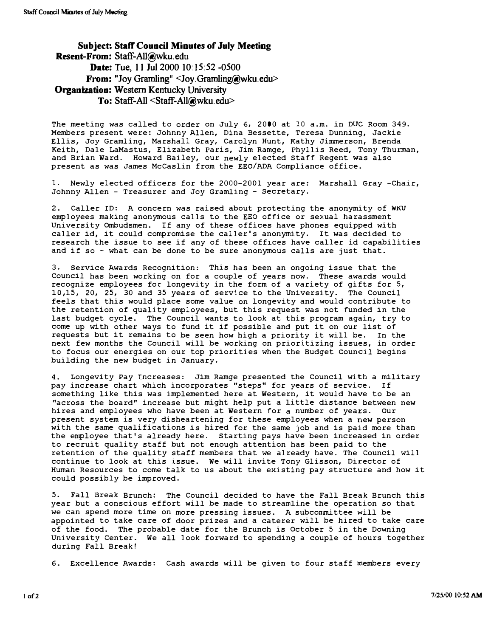Subject: Staff Council Minutes of July Meeting Resent-From: Staff-AII@wku.edu Date: Tue, 11 Jul 2000 10:15:52 -0500 From: "Joy Gramling" <Joy.Gramling@wku.edu> Organization: Western Kentucky University To: Staff-All <Staff-All@wku.edu>

The meeting was called to order on July 6, 2000 at 10 a.m. in DUC Room 349. Members present were: Johnny Allen, Dina Bessette, Teresa Dunning, Jackie Ellis, Joy Gramling, Marshall Gray, Carolyn Hunt, Kathy Jimmerson, Brenda Keith, Dale LaMastus, Elizabeth Paris, Jim Ramge, Phyllis Reed, Tony Thurman, and Brian Ward. Howard Bailey, our newly elected staff Regent was also present as was James McCaslin from the EEO/ADA Compliance office.

1. Newly elected officers for the 2000-2001 year are: Marshall Gray -Chair, Johnny Allen - Treasurer and Joy Gramling - secretary.

2. Caller ID: A concern was raised about protecting the anonymity of WKU employees making anonymous calls to the EEO office or sexual harassment University ombudsmen. If any of these offices have phones equipped with caller id, it could compromise the caller's anonymity. It was decided to research the issue to see if any of these offices have caller id capabilities and if so  $-$  what can be done to be sure anonymous calls are just that.

3. Service Awards Recognition: This has been an ongoing issue that the Council has been working on for a couple of years now. These awards would recognize employees for longevity in the form of a variety of gifts for S, 10,15, 20, 25, 30 and 35 years of service to the University. The Council feels that this would place some value on longevity and would contribute to the retention of quality employees, but this request was not funded in the last budget cycle. The Council wants to look at this program again, try to come up with other ways to fund it if possible and put it on our list of requests but it remains to be seen how high a priority it will be. In the next few months the Council will be working on prioritizing issues, in order to focus our energies on our top priorities when the Budget council begins building the new budget in January.

4. Longevity Pay Increases: Jim Ramge presented the Council with a military pay increase chart which incorporates "steps" for years of service. If something like this was implemented here at Western, it would have to be an "across the board" increase but might help put a little distance between new hires and employees who have been at Western for a number of years. Our present system is very disheartening for these employees when a new person with the same qualifications is hired for the same job and is paid more than the employee that's already here. Starting pays have been increased in order to recruit quality staff but not enough attention has been paid to the retention of the quality staff members that we already have. The Council will continue to look at this issue. We will invite Tony Glisson, Director of Human Resources to come talk to us about the existing pay structure and how it could possibly be improved.

5. Fall Break Brunch: The Council decided to have the Fall Break Brunch this year but a conscious effort will be made to streamline the operation so that we can spend more time on more pressing issues. A subcommittee will be appointed to take care of door prizes and a caterer will be hired to take care of the food. The probable date for the Brunch is october 5 in the Downing University Center. We all look forward to spending a couple of hours together during Fall Break!

6. Excellence Awards: Cash awards will be given to four staff members every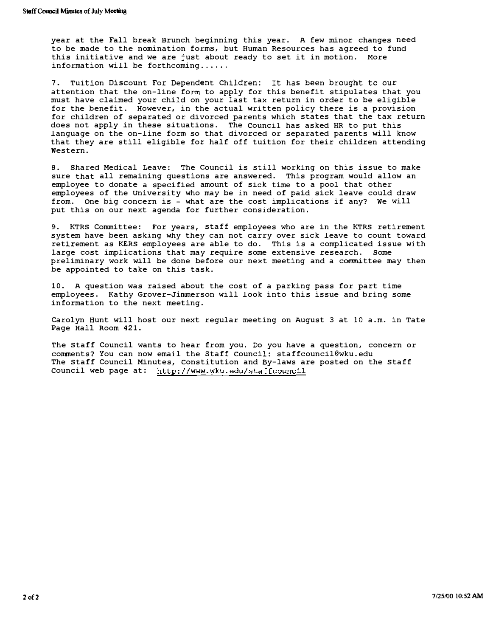year at the Fall break Brunch beginning this year. A few minor changes need to be made to the nomination forms, but Human Resources has agreed to fund this initiative and we are just about ready to set it in motion. More information will be forthcoming ..... .

7. Tuition Discount For Dependent Children: It has been brought to our attention that the on-line form to apply for this benefit stipulates that you must have claimed your child on your last tax return in order to be eligible for the benefit. However, in the actual written policy there is a provision for children of separated or divorced parents which states that the tax return does not apply in these situations. The Council has asked HR to put this language on the on-line form so that divorced or separated parents will know that they are still eligible for half off tuition for their children attending western.

8. Shared Medical Leave: The Council is still working on this issue to make sure that all remaining questions are answered. This program would allow an employee to donate a specified amount of sick time to a pool that other employees of the university who may be in need of paid sick leave could draw from. One big concern is - what are the cost implications if any? We will put this on our next agenda for further consideration.

9. KTRS Committee: For years, staff employees who are in the KTRS retirement system have been asking why they can not carry over sick leave to count toward retirement as KERS employees are able to do. This is a complicated issue with large cost implications that may require some extensive research. Some preliminary work will be done before our next meeting and a committee may then be appointed to take on this task.

10. A question was raised about the cost of a parking pass for part time employees. Kathy Grover-Jimmerson will look into this issue and bring some information to the next meeting.

Carolyn Hunt will host our next regular meeting on August 3 at 10 a.m. in Tate Page Hall Room 421.

The Staff Council wants to hear from you. Do you have a question, concern or comments? You can now email the Staff Council: staffcouncil@wku.edu The Staff Council Minutes, Constitution and By-laws are posted on the Staff Council web page at: http://www.wku.edu/staffcouncil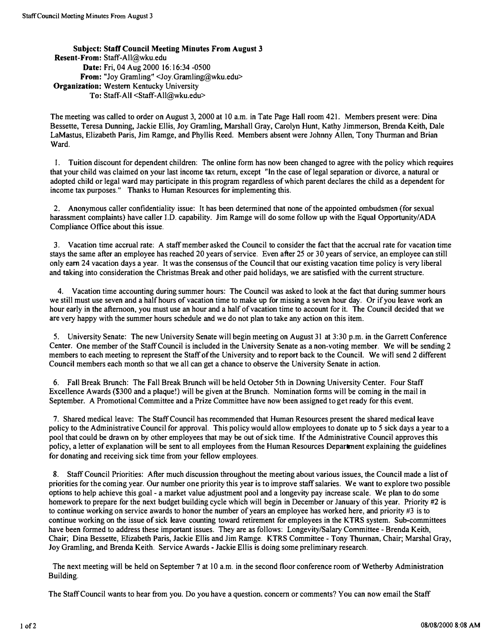SUbject: Staff Council Meeting Minutes From August 3 Resent-From: Staff-All@wku.edu Date: Fri, 04 Aug 2000 16:16:34 -0500 From: "Joy Gramling" <Joy.Gramling@wku.edu> Organization: Western Kentucky University To: Staff-All <Staff-All@wku.edu>

The meeting was called to order on August 3, 2000 at 10 a.m. in Tate Page Hall room 421. Members present were: Dina Bessette, Teresa Dunning, Jackie Ellis, Joy Gramling, Marshall Gray, Carolyn Hunt, Kathy Jimmerson, Brenda Keith, Dale LaMastus, Elizabeth Paris, Jim Ramge, and Phyllis Reed. Members absent were Johnny Allen, Tony Thurman and Brian Ward.

I. Tuition discount for dependent children: The online form has now been changed to agree with the policy which requires that your child was claimed on your last income tax return, except "In the case of legal separation or divorce, a natural or adopted child or legal ward may participate in this program regardless of which parent declares the child as a dependent for income tax purposes." Thanks to Human Resources for implementing this.

2. Anonymous caller confidentiality issue: It has been determined that none of the appointed ombudsmen (for sexual harassment complaints) have caller I.D. capability. Jim Ramge will do some follow up with the Equal Opportunity/ADA Compliance Office about this issue.

3. Vacation time accrual rate: A staff member asked the Council to consider the fact that the accrual rate for vacation time stays the same after an employee has reached 20 years of service. Even after 25 or 30 years of service, an employee can still only earn 24 vacation days a year. It was the consensus of the Council that our existing vacation time policy is very liberal and taking into consideration the Christmas Break and other paid holidays, we are satisfied with the current structure.

4. Vacation time accounting during summer hours: The Council was asked to look at the fact that during summer hours we still must use seven and a half hours of vacation time to make up for missing a seven hour day. Or if you leave work an hour early in the afternoon, you must use an hour and a half of vacation time to account for it. The Council decided that we are very happy with the summer hours schedule and we do not plan to take any action on this item.

5. University Senate: The new University Senate will begin meeting on August 31 at 3:30 p.m. in the Garrett Conference Center. One member of the Staff Council is included in the University Senate as a non-voting member. We will be sending 2 members to each meeting to represent the Staff of the University and to report back to the Council. We will send 2 different Council members each month so that we all can get a chance to observe the University Senate in action.

6. Fall Break Brunch: The Fall Break Brunch will be held October 5th in Downing University Center. Four Staff Excellence Awards (\$300 and a plaque!) will be given at the Brunch. Nomination forms will be coming in the mail in September. A Promotional Committee and a Prize Committee have now been assigned to get ready for this event.

7. Shared medical leave: The Staff Council has recommended that Human Resources present the shared medical leave policy to the Administrative Council for approval. This policy would allow employees to donate up to 5 sick days a year to a pool that could be drawn on by other employees that may be out of sick time. If the Administrative Council approves this policy, a letter of explanation will be sent to all employees from the Human Resources Department explaining the guidelines for donating and receiving sick time from your fellow employees.

8. Staff Council Priorities: After much discussion throughout the meeting about various issues, the Council made a list of priorities for the coming year. Our number one priority this year is to improve staff salaries. We want to explore two possible options to help achieve this goal - a market value adjustment pool and a longevity pay increase scale. We plan to do some homework to prepare for the next budget building cycle which will begin in December or January of this year. Priority #2 is to continue working on service awards to honor the number of years an employee has worked here, and priority #3 is to continue working on the issue of sick leave counting toward retirement for employees in the KTRS system. Sub-committees have been formed to address these important issues. They are as follows: Longevity/Salary Committee - Brenda Keith, Chair; Dina Bessette, Elizabeth Paris, Jackie Ellis and Jim Ramge. KTRS Committee - Tony Thunnan. Chair; Marshal Gray, Joy Gramling, and Brenda Keith. Service Awards - Jackie Ellis is doing some preliminary research.

The next meeting will be held on September 7 at 10 a.m. in the second floor conference room of Wetherby Administration Building.

The Staff Council wants to hear from you. Do you have a question, concern or comments? You can now email the Staff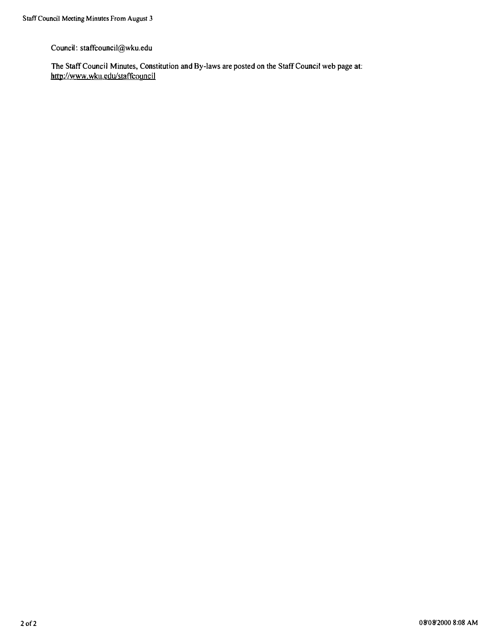Council: staffcouncil@wku.edu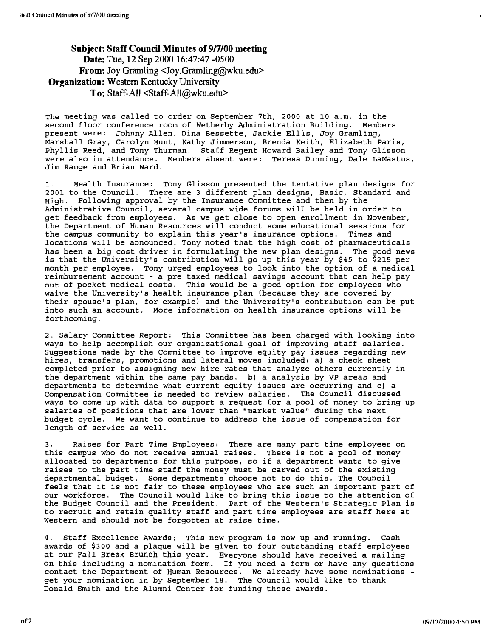Subject: Staff Council Minutes of 9/7/00 meeting Date: Tue, 12 Sep 2000 16:47:47 -0500 From: Joy Gramling <Joy.Gramling@wku.edu> Organization: Western Kentucky University To: Staff-All <Staff-All@Wku.edu>

The meeting was called to order on September 7th, 2000 at 10 a.m. in the second floor conference room of Wetherby Administration Building. Members present were: Johnny Allen, Dina Bessette, Jackie Ellis, Joy Gramling, Marshall Gray, Carolyn Hunt, Kathy Jimmerson, Brenda Keith, Elizabeth Paris, Phyllis Reed, and Tony Thurman. Staff Regent Howard Bailey and Tony Glisson were also in attendance. Members absent were: Teresa Dunning, Dale LaMastus, Jim Ramge and Brian ward.

1. Health Insurance: Tony Glisson presented the tentative plan designs for 2001 to the Council. There are 3 different plan designs, Basic, Standard and High. Following approval by the Insurance committee and then by the Administrative Council, several campus wide forums will be held in order to get feedback from employees. As we get close to open enrollment in November, the Department of Human Resources will conduct some educational sessions for the campus community to explain this year's insurance options. Times and locations will be announced. Tony noted that the high cost of pharmaceuticals has been a big cost driver in formulating the new plan designs. The good news is that the University's contribution will go up this year by \$45 to \$215 per month per employee. Tony urged employees to look into the option of a medical reimbursement account - a pre taxed medical savings account that can help pay out of pocket medical costs. This would be a good option for employees who waive the University's health insurance plan (because they are covered by their spouse's plan, for example) and the University's contribution can be put into such an account. More information on health insurance options will be forthcoming.

2. Salary Committee Report: This Committee has been charged with looking into ways to help accomplish our organizational goal of improving staff salaries. Suggestions made by the Committee to improve equity pay issues regarding new hires, transfers, promotions and lateral moves included: a) a check sheet completed prior to assigning new hire rates that analyze others currently in the department within the same pay bands. b) a analysis by VP areas and departments to determine what current equity issues are occurring and c) a Compensation Committee is needed to review salaries. The COUncil discussed ways to come up with data to support a request for a pool of money to bring up salaries of positions that are lower than "market value" during the next budget cycle. We want to continue to address the issue of compensation for length of service as well.

3. Raises for Part Time Employees: There are many part time employees on this campus who do not receive annual raises. There is not a pool of money allocated to departments for this purpose, so if a department wants to give raises to the part time staff the money must be carved out of the existing departmental budget. Some departments choose not to do this. The Council feels that it is not fair to these employees who are such an important part of our workforce. The Council would like to bring this issue to the attention of the Budget Council and the President. Part of the Western's Strategic plan is to recruit and retain quality staff and part time employees are staff here at Western and should not be forgotten at raise time.

4. Staff Excellence Awards: This new program is now up and running. Cash awards of \$300 and a plaque will be given to four outstanding staff employees at our Fall Break Brunch this year. Everyone should have received a mailing on this including a nomination form. If you need a form or have any questions contact the Department of Human Resources. We already have some nominations get your nomination in by September 18. The Council would like to thank Donald Smith and the Alumni Center for funding these awards.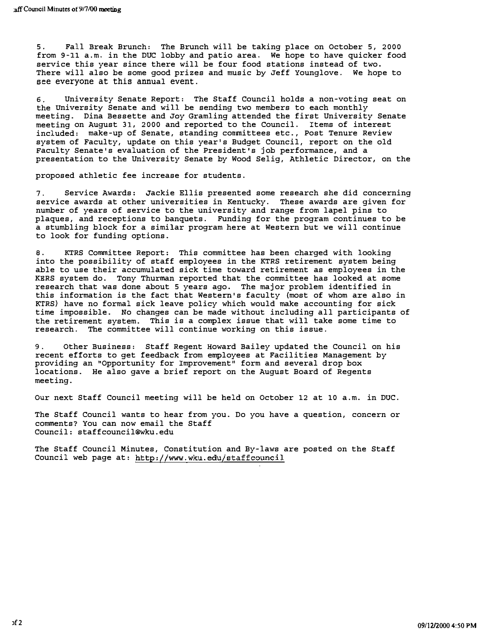5. Fall Break Brunch: The Brunch will be taking place on October 5, 2000 from 9-l1 a.m. in the DUC lobby and patio area. We hope to have quicker food service this year since there will be four food stations instead of two. There will also be some good prizes and music by Jeff Younglove. We hope to see everyone at this annual event.

6. University Senate Report: The Staff Council holds a non-voting seat on the university Senate and will be sending two members to each monthly meeting. Dina Bessette and Jay Gramling attended the first University Senate meeting on August 31, 2000 and reported to the Council. Items of interest included: make-up of Senate, standing committees etc., Post Tenure Review system of Faculty, update on this year's Budget Council, report on the old Faculty Senate's evaluation of the President's job performance, and a presentation to the University Senate by Wood Selig, Athletic Director, on the

proposed athletic fee increase for students.

7. Service Awards: Jackie Ellis presented some research she did concerning service awards at other universities in Kentucky. These awards are given for number of years of service to the university and range from lapel pins to plaques, and receptions to banquets. Funding for the program continues to be a stumbling block for a similar program here at Western but we will continue to look for funding options.

8. KTRS Committee Report: This committee has been charged with looking into the possibility of staff employees in the KTRS retirement system being able to use their accumulated sick time toward retirement as employees in the KERS system do. Tony Thurman reported that the committee has looked at some research that was done about 5 years ago. The major problem identified in this information is the fact that Western's faculty (most of whom are also in KTRS) have no formal sick leave policy which would make accounting for sick time impossible. No changes can be made without including all participants of the retirement system. This is a complex issue that will take some time to research. The committee will continue working on this issue.

9. Other Business: Staff Regent Howard Bailey updated the Council on his recent efforts to get feedback from employees at Facilities Management by providing an "Opportunity for Improvement" form and several drop box locations. He also gave a brief report on the August Board of Regents meeting.

Our next Staff Council meeting will be held on October 12 at 10 a.m. in DUC.

The Staff Council wants to hear from you. Do you have a question, concern or comments? You can now email the Staff Council: staffcouncil@wku.edu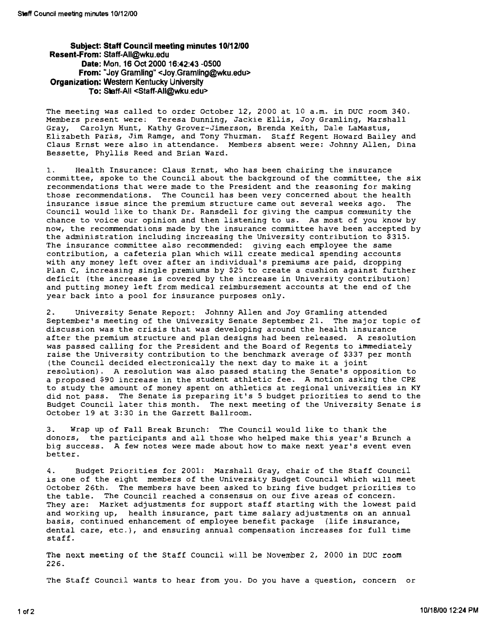#### Subject: Staff Council meeting minutes 10/12/00 Resent-From: Staff-AII@wku.edu Date: Mon, 16 Oct 2000 16:42:43 -0500 From: "Joy Gramling" <Joy.Gramling@wku.edu> Organization: Western Kentucky University To: Staff-All <Staff-AII@wku.edu>

The meeting was called to order October 12, 2000 at 10 a.m. in DUC room 340. Members present were: Teresa Dunning, Jackie Ellis, Joy Gramling, Marshall Gray, Carolyn Hunt, Kathy Grover-Jimerson, Brenda Keith, Dale LaMastus, Elizabeth paris, Jim Ramge, and Tony Thurman. Staff Regent Howard Bailey and Claus Ernst were also in attendance. Members absent were: Johnny Allen, Dina Bessette, Phyllis Reed and Brian Ward.

1. Health Insurance: Claus Ernst, who has been chairing the insurance committee, spoke to the council about the background of the committee, the six recommendations that were made to the President and the reasoning for making those recommendations. The Council has been very concerned about the health insurance issue since the premium structure came out several weeks ago. The council would like to thank Dr. Ransdell for giving the campus community the chance to voice our opinion and then listening to us. As most of you know by now, the recommendations made by the insurance committee have been accepted by the administration including increasing the University contribution to \$315. The insurance committee also recommended: giving each employee the same contribution, a cafeteria plan which will create medical spending accounts with any money left over after an individual's premiums are paid, dropping Plan C, increasing single premiums by \$25 to create a cushion against further deficit (the increase is covered by the increase in university contribution) and putting money left from medical reimbursement accounts at the end of the year back into a pool for insurance purposes only.

2. university Senate Report: Johnny Allen and Joy Gramling attended September's meeting of the university Senate September 21. The major topic of discussion was the crisis that was developing around the health insurance after the premium structure and plan designs had been released. A resolution was passed calling for the President and the Board of Regents to immediately raise the university contribution to the benchmark average of \$337 per month (the Council decided electronically the next day to make it a joint resolution). A resolution was also passed stating the senate's opposition to a proposed \$90 increase in the student athletic fee. A motion asking the CPE to study the amount of money spent on athletics at regional universities in KY did not pass. The Senate is preparing it's 5 budget priorities to send to the Budget Council later this month. The next meeting of the University Senate is October 19 at 3:30 in the Garrett Ballroom.

3. Wrap up of Fall Break Brunch: The Council would like to thank the donors, the participants and all those who helped make this year's Brunch a big success. A few notes were made about how to make next year's event even better.

4. Budget Priorities for 2001: Marshall Gray, chair of the Staff council is one of the eight members of the University Budget Council which will meet October 26th. The members have been asked to bring five budget priorities to the table. The Council reached a consensus on our five areas of concern. They are: Market adjustments for support staff starting with the lowest paid and working up, health insurance, part time salary adjustments on an annual basis, continued enhancement of employee benefit package (life insurance, dental care, etc.), and ensuring annual compensation increases for full time staff.

The next meeting of the Staff Council will be November 2, 2000 in DUC room 226.

The Staff council wants to hear from you. Do you have a question, concern or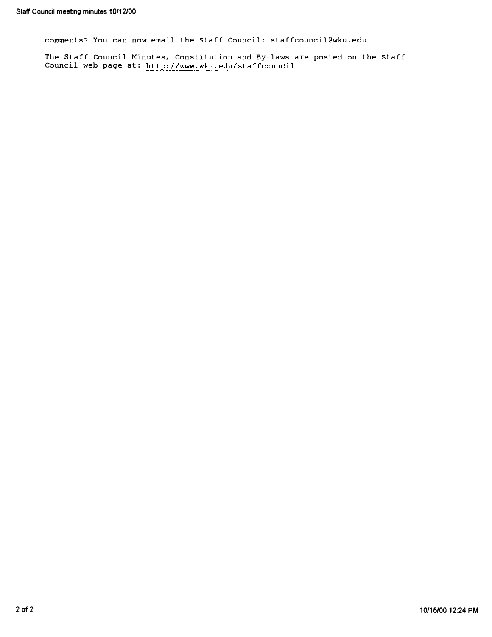comments? You can now email the Staff Council: staffcouncil@wku.edu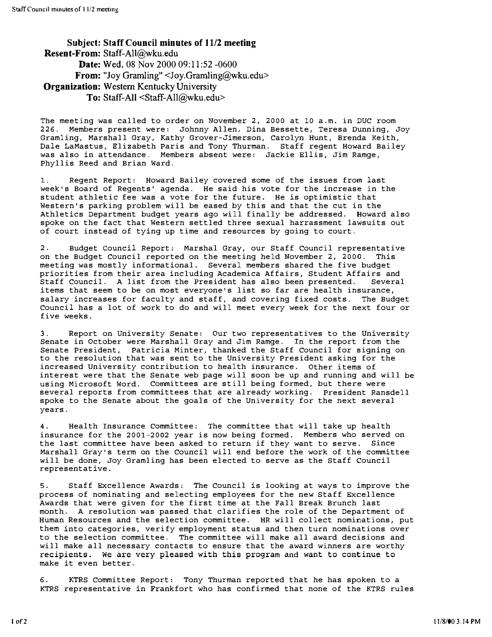Subject: Staff Council minutes of 11/2 meeting Resent-From: Staff-AII@wku.edu Date: Wed, 08 Nov 2000 09:11:52 -0600 From: "Joy Gramling" <Joy.Gramling@wku.edu> **Organization:** Western Kentucky University To: Staff-All <Staff-AII@wku.edu>

The meeting was called to order on November 2, 2000 at 10 a.m. in DUC room 226. Members present were: Johnny Allen, Dina Bessette, Teresa Dunning, Joy Gramling, Marshall Gray, Kathy Grover-Jimerson, Carolyn Hunt, Brenda Keith, Dale LaMastus, Elizabeth Paris and Tony Thurman. Staff regent Howard Bailey was also in attendance. Members absent were: Jackie Ellis, Jim Ramge, Phyllis Reed and Brian Ward.

1. Regent Report: Howard Bailey covered some of the issues from last week' s Board of Regents' agenda. He said his vote for the increase in the student athletic fee was a vote for the future. He is optimistic that Western's parking problem will be eased by this and that the cut in the Athletics Department budget years ago will finally be addressed. Howard also spoke on the fact that Western settled three sexual harrassment lawsuits out of court instead of tying up time and resources by going to court.

2. Budget council Report; Marshal Gray, our Staff Council representative on the Budget Council reported on the meeting held November 2, 2000. This meeting was mostly informational. Several members shared the five budget priorities from their area including Academica Affairs, Student Affairs and Staff Council. A list from the President has also been presented. Several items that seem to be on most everyone's list so far are health insurance, salary increases for faculty and staff, and covering fixed costs. The Budget Council has a lot of work to do and will meet every week for the next four or five weeks.

3. Report on University Senate: Our two representatives to the University Senate in October were Marshall Gray and Jim Ramge. In the report from the Senate President, Patricia Minter, thanked the Staff Council for signing on to the resolution that was sent to the University President asking for the increased University contribution to health insurance. Other items of interest were that the Senate web page will soon be up and running and will be using Microsoft Word. Committees are still being formed, but there were several reports from committees that are already working. President Ransdell spoke to the Senate about the goals of the University for the next several years.

4. Health Insurance committee: The committee that will take up health insurance for the 2001-2002 year is now being formed. Members who served on the last committee have been asked to return if they want to serve. Since Marshall Gray' s term on the Council will end before the work of the committee will be done, Joy Gramling has been elected to serve as the Staff Council representative.

5. Staff Excellence Awards: The Council is looking at ways to improve the process of nominating and selecting employees for the new Staff Excellence Awards that were given for the first time at the Fall Break Brunch last month. A resolution was passed that clarifies the role of the Department of Human Resources and the selection committee\_ HR will collect nominations, put them into categories, verify employment status and then turn nominations over to the selection committee. The committee will make all award decisions and will make all necessary contacts to ensure that the award winners are worthy recipients. We are very pleased with this program and want to continue to make it even better.

6. KTRS Committee Report: Tony Thurman reported that he has spoken to a KTRS representative in Frankfort who has confirmed that none of the KTRS rules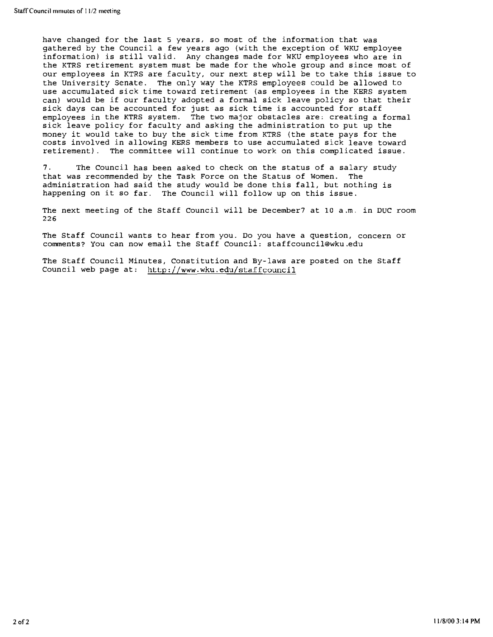have changed for the last 5 years, so most of the information that was gathered by the Council a few years ago (with the exception of WKU employee information) is still valid. Any changes made for WKU employees who are in the KTRS retirement system must be made for the whole group and since most of our employees in KTRS are faculty, our next step will be to take this issue to the University Senate. The only way the KTRS employees could be allowed to use accumulated sick time toward retirement (as employees in the KERS system can) would be if our faculty adopted a formal sick leave policy so that their sick days can be accounted for just as sick time is accounted for staff employees in the KTRS system. The two major obstacles are; creating a formal sick leave policy for faculty and asking the administration to put up the money it would take to buy the sick time from KTRS (the state pays for the costs involved in allowing KERS members to use accumulated sick leave toward retirement) . The committee will continue to work on this complicated issue.

7. The Council has been asked to check on the status of a salary study that was recommended by the Task Force on the Status of Women. The administration had said the study would be done this fall, but nothing is happening on it so far. The Council will follow up on this issue.

The next meeting of the Staff Council will be December? at 10 a.m. in DUC room 226

The Staff Council wants to hear from you. Do you have a question, concern or comments? You can now email the Staff Council: staffcouncil@wku.edu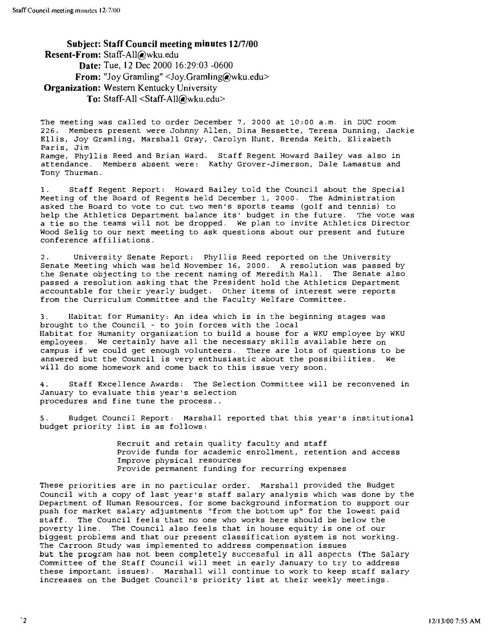Subject: Staff Council meeting minutes 12/7/00 Resent-From: Staff-All@wku.edu Date: Tue, 12 Dec 2000 16:29:03 -0600 From: "Joy Gramling" <Joy.Gramling@wku.edu> **Organization:** Western Kentucky University To: Staff-All <Staff-AII@wku.edu>

The meeting was called to order December 7, 2000 at 10:00 a.m. in DUC room 226. MemberS present were Johnny Allen, Dina Bessette, Teresa Dunning, Jackie Ellis, Joy Gramling, Marshall Gray, Carolyn Hunt, Brenda Keith, Elizabeth Paris, Jim Ramge, Phyllis Reed and Brian ward. Staff Regent Howard Bailey was also in attendance. Members absent were: Kathy Grover-Jimerson, Dale Lamastus and Tony Thurman.

1. Staff Regent Report: Howard Bailey told the Council about the special Meeting of the Board of Regents held December 1, 2000. The Administration asked the Board to vote to cut two men's sports teams (golf and tennis) to help the Athletics Department balance its' budget in the future. The vote was a tie so the teams will not be dropped. We plan to invite Athletics Director Wood Selig to our next meeting to ask questions about our present and future conference affiliations.

2. University Senate Report: Phyllis Reed reported on the University Senate Meeting which was held November 16, 2000. A resolution was passed by the Senate objecting to the recent naming of Meredith Hall. The Senate also passed a resolution asking that the President hold the Athletics Department accountable for their yearly budget. Other items of interest were reports from the Curriculum Committee and the Faculty Welfare Committee.

3. Habitat for Humanity: An idea which is in the beginning stages was brought to the Council - to join forces with the local Habitat for Humanity organization to build a house for a WKU employee by WKU employees. We certainly have all the necessary skills available here on campus if we could get enough volunteers. There are lots of questions to be answered but the Council is very enthusiastic about the possibilities. We will do some homework and come back to this issue very soon.

4. Staff Excellence Awards: The Selection Committee will be reconvened in January to evaluate this year's selection procedures and fine tune the process ..

5. Budget Council Report: Marshall reported that this year's institutional budget priority list is as follows:

> Recruit and retain quality faculty and staff Provide funds for academic enrollment, retention and access Improve physical resources Provide permanent funding for recurring expenses

These priorities are in no particular order. Marshall provided the Budget Council with a copy of last year's staff salary analysis which was done by the Department of Human Resources, for some background information to support our push for market salary adjustments "from the bottom up" for the lowest paid staff. The Council feels that no one who works here should be below the poverty line. The Council also feels that in house equity is one of our biggest problems and that our present classification system is not working. The Carroon Study was implemented to address compensation issues but the program has not been completely successful in all aspects (The Salary Committee of the Staff Council will meet in early January to try to address these important issues). Marshall will continue to work to keep staff salary increases on the Budget Council's priority list at their weekly meetings .